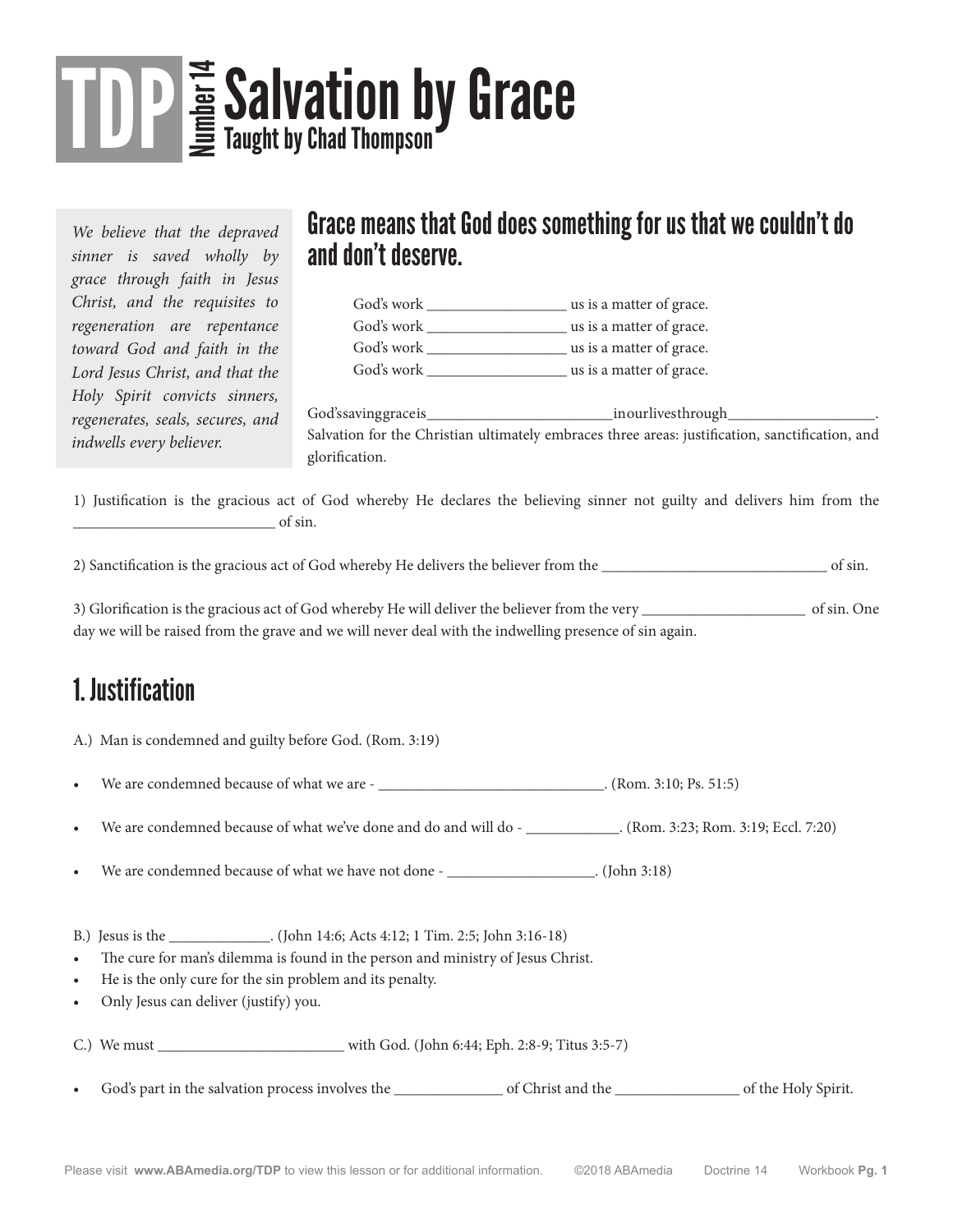# TDP Salvation by Grace

*We believe that the depraved sinner is saved wholly by grace through faith in Jesus Christ, and the requisites to regeneration are repentance toward God and faith in the Lord Jesus Christ, and that the Holy Spirit convicts sinners, regenerates, seals, secures, and indwells every believer.*

### Grace means that God does something for us that we couldn't do and don't deserve.

| God's work | us is a matter of grace. |
|------------|--------------------------|
| God's work | us is a matter of grace. |
| God's work | us is a matter of grace. |
| God's work | us is a matter of grace. |

God's saving grace is \_\_\_\_\_\_\_\_\_\_\_\_\_\_\_\_\_\_\_\_\_\_\_\_ in our lives through \_\_\_\_\_\_\_\_\_\_\_\_\_\_\_\_\_\_\_. Salvation for the Christian ultimately embraces three areas: justification, sanctification, and glorification.

1) Justification is the gracious act of God whereby He declares the believing sinner not guilty and delivers him from the \_\_\_\_\_\_\_\_\_\_\_\_\_\_\_\_\_\_\_\_\_\_\_\_\_\_ of sin.

2) Sanctification is the gracious act of God whereby He delivers the believer from the \_\_\_\_\_\_\_\_\_\_\_\_\_\_\_\_\_\_\_\_\_\_\_\_\_\_\_\_\_ of sin.

3) Glorification is the gracious act of God whereby He will deliver the believer from the very \_\_\_\_\_\_\_\_\_\_\_\_\_\_\_\_\_\_\_\_\_ of sin. One day we will be raised from the grave and we will never deal with the indwelling presence of sin again.

## 1. Justification

|                                                                                                                                                                                                                                                                                                                  | A.) Man is condemned and guilty before God. (Rom. 3:19)                                                              |  |  |  |
|------------------------------------------------------------------------------------------------------------------------------------------------------------------------------------------------------------------------------------------------------------------------------------------------------------------|----------------------------------------------------------------------------------------------------------------------|--|--|--|
| $\bullet$                                                                                                                                                                                                                                                                                                        |                                                                                                                      |  |  |  |
| $\bullet$                                                                                                                                                                                                                                                                                                        | We are condemned because of what we've done and do and will do - _______________. (Rom. 3:23; Rom. 3:19; Eccl. 7:20) |  |  |  |
| $\bullet$                                                                                                                                                                                                                                                                                                        | We are condemned because of what we have not done - ________________________. (John 3:18)                            |  |  |  |
| B.) Jesus is the ______________. (John 14:6; Acts 4:12; 1 Tim. 2:5; John 3:16-18)<br>The cure for man's dilemma is found in the person and ministry of Jesus Christ.<br>$\bullet$<br>He is the only cure for the sin problem and its penalty.<br>$\bullet$<br>Only Jesus can deliver (justify) you.<br>$\bullet$ |                                                                                                                      |  |  |  |
|                                                                                                                                                                                                                                                                                                                  |                                                                                                                      |  |  |  |
|                                                                                                                                                                                                                                                                                                                  | • God's part in the salvation process involves the subseted by Spirit.                                               |  |  |  |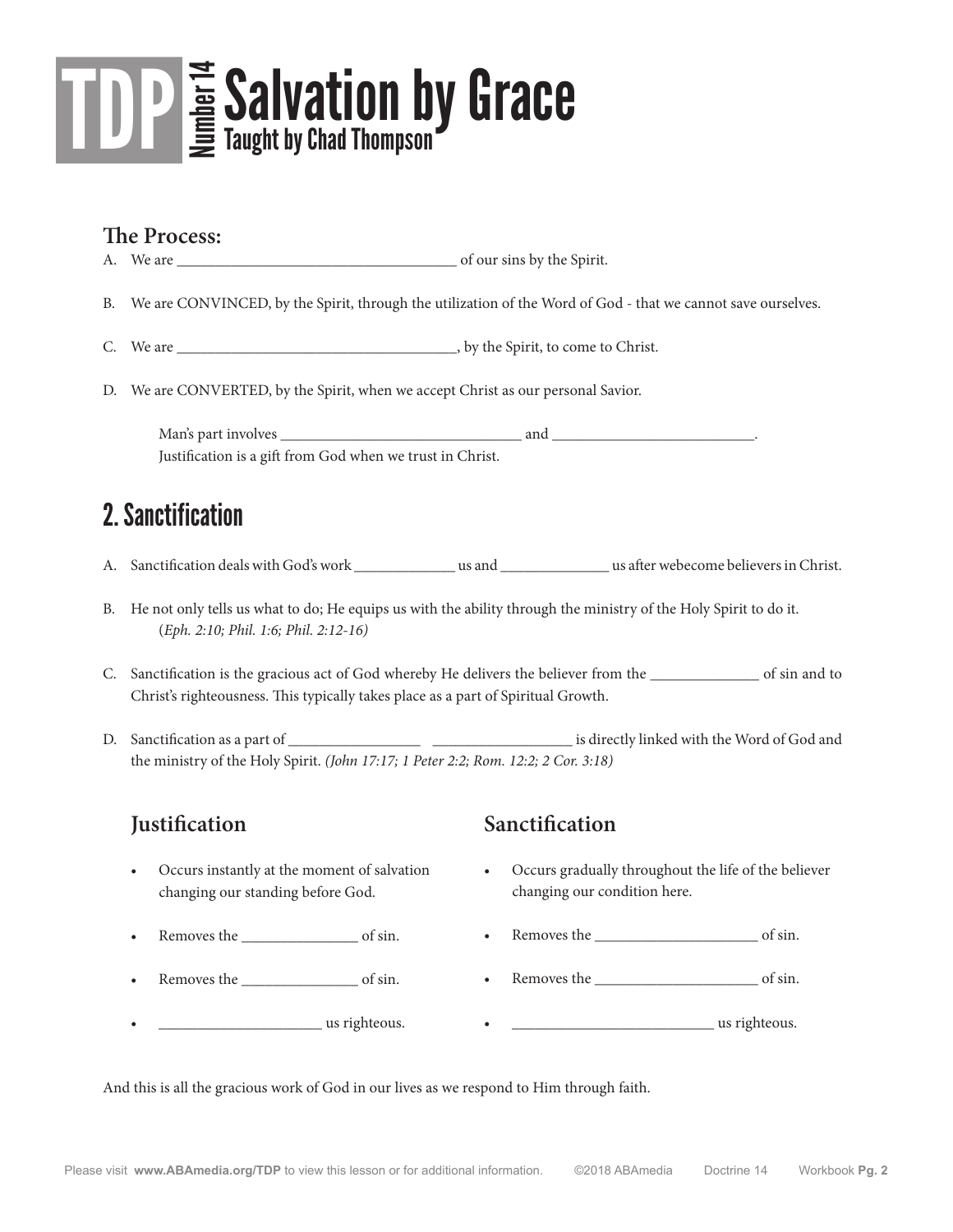

#### **The Process:**

A. We are  $\qquad \qquad$  of our sins by the Spirit.

- B. We are CONVINCED, by the Spirit, through the utilization of the Word of God that we cannot save ourselves.
- C. We are \_\_\_\_\_\_\_\_\_\_\_\_\_\_\_\_\_\_\_\_\_\_\_\_\_\_\_\_\_\_\_\_\_\_\_\_, by the Spirit, to come to Christ.
- D. We are CONVERTED, by the Spirit, when we accept Christ as our personal Savior.

Man's part involves \_\_\_\_\_\_\_\_\_\_\_\_\_\_\_\_\_\_\_\_\_\_\_\_\_\_\_\_\_\_\_ and \_\_\_\_\_\_\_\_\_\_\_\_\_\_\_\_\_\_\_\_\_\_\_\_\_\_. Justification is a gift from God when we trust in Christ.

### 2. Sanctification

- A. Sanctification deals with God's work \_\_\_\_\_\_\_\_\_\_\_\_\_ us and \_\_\_\_\_\_\_\_\_\_\_\_\_\_ us after webecome believers in Christ.
- B. He not only tells us what to do; He equips us with the ability through the ministry of the Holy Spirit to do it. (*Eph. 2:10; Phil. 1:6; Phil. 2:12-16)*
- C. Sanctification is the gracious act of God whereby He delivers the believer from the \_\_\_\_\_\_\_\_\_\_\_\_\_\_ of sin and to Christ's righteousness. This typically takes place as a part of Spiritual Growth.
- D. Sanctification as a part of \_\_\_\_\_\_\_\_\_\_\_\_\_\_\_\_\_ \_\_\_\_\_\_\_\_\_\_\_\_\_\_\_\_\_\_ is directly linked with the Word of God and the ministry of the Holy Spirit. *(John 17:17; 1 Peter 2:2; Rom. 12:2; 2 Cor. 3:18)*

#### **Justification**

- Occurs instantly at the moment of salvation changing our standing before God.
- Removes the of sin.
- Removes the contract of sin.
- **example 2** us righteous.

#### **Sanctification**

- Occurs gradually throughout the life of the believer changing our condition here.
- Removes the \_\_\_\_\_\_\_\_\_\_\_\_\_\_\_\_\_\_\_\_\_ of sin.
- Removes the  $\qquad \qquad$  of sin.
- $\frac{1}{\sqrt{2}}$  us righteous.

And this is all the gracious work of God in our lives as we respond to Him through faith.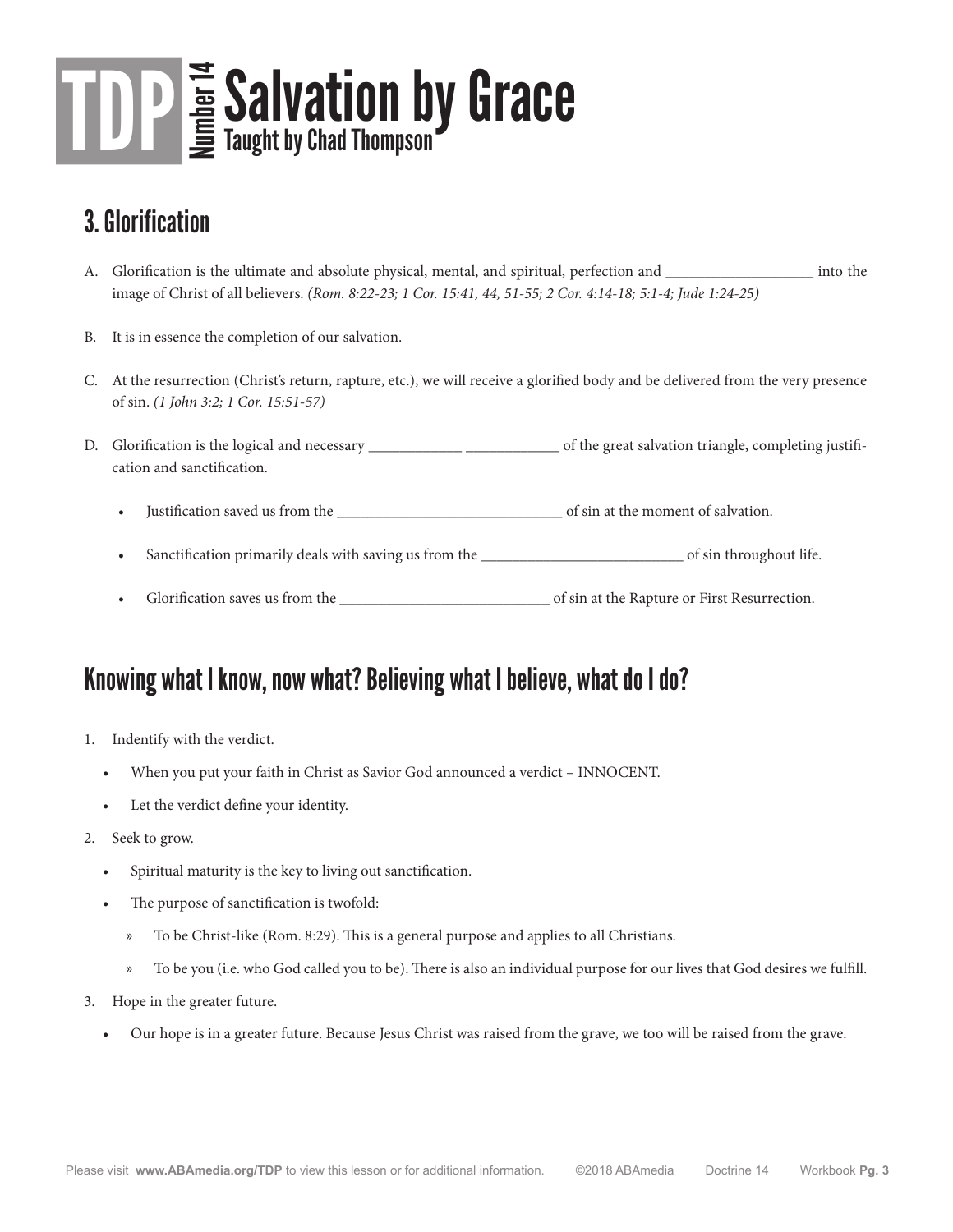# TDP Salvation by Grace

## 3. Glorification

- A. Glorification is the ultimate and absolute physical, mental, and spiritual, perfection and \_\_\_\_\_\_\_\_\_\_\_\_\_\_\_\_\_\_\_ into the image of Christ of all believers. *(Rom. 8:22-23; 1 Cor. 15:41, 44, 51-55; 2 Cor. 4:14-18; 5:1-4; Jude 1:24-25)*
- B. It is in essence the completion of our salvation.
- C. At the resurrection (Christ's return, rapture, etc.), we will receive a glorified body and be delivered from the very presence of sin. *(1 John 3:2; 1 Cor. 15:51-57)*
- D. Glorification is the logical and necessary \_\_\_\_\_\_\_\_\_\_\_\_\_\_\_\_\_\_\_\_\_\_\_\_\_\_\_\_ of the great salvation triangle, completing justification and sanctification.
	- Justification saved us from the \_\_\_\_\_\_\_\_\_\_\_\_\_\_\_\_\_\_\_\_\_\_\_\_\_\_\_\_\_ of sin at the moment of salvation.
	- Sanctification primarily deals with saving us from the \_\_\_\_\_\_\_\_\_\_\_\_\_\_\_\_\_\_\_\_\_\_\_\_\_\_ of sin throughout life.
	- Glorification saves us from the \_\_\_\_\_\_\_\_\_\_\_\_\_\_\_\_\_\_\_\_\_\_\_\_\_\_\_ of sin at the Rapture or First Resurrection.

### Knowing what I know, now what? Believing what I believe, what do I do?

- 1. Indentify with the verdict.
	- When you put your faith in Christ as Savior God announced a verdict INNOCENT.
	- Let the verdict define your identity.
- 2. Seek to grow.
	- Spiritual maturity is the key to living out sanctification.
	- The purpose of sanctification is twofold:
		- » To be Christ-like (Rom. 8:29). This is a general purpose and applies to all Christians.
		- » To be you (i.e. who God called you to be). There is also an individual purpose for our lives that God desires we fulfill.
- 3. Hope in the greater future.
	- Our hope is in a greater future. Because Jesus Christ was raised from the grave, we too will be raised from the grave.